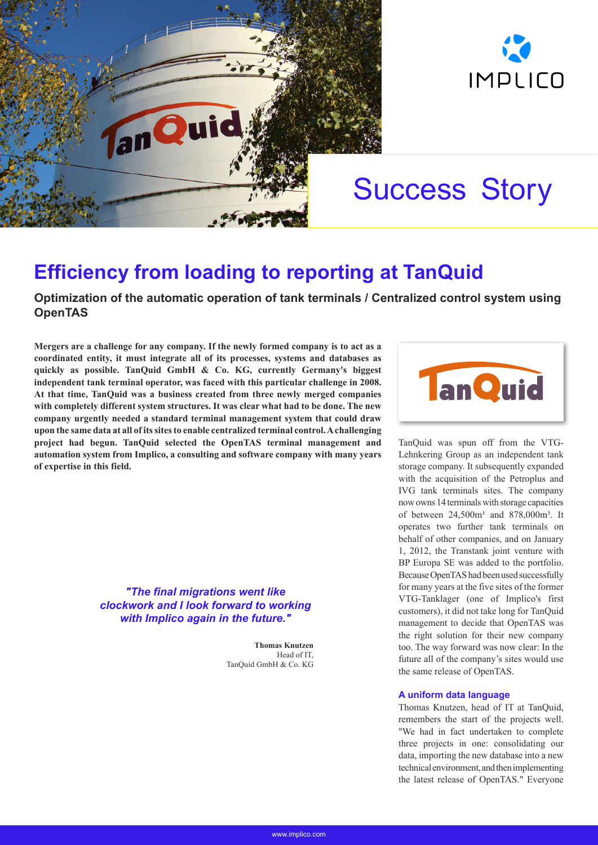



# Success Story

# **Efficiency from loading to reporting at TanQuid**

# **Optimization of the automatic operation of tank terminals / Centralized control system using OpenTAS**

**Mergers are a challenge for any company. If the newly formed company is to act as a coordinated entity, it must integrate all of its processes, systems and databases as quickly as possible. TanQuid GmbH & Co. KG, currently Germany's biggest independent tank terminal operator, was faced with this particular challenge in 2008. At that time, TanQuid was a business created from three newly merged companies with completely different system structures. It was clear what had to be done. The new company urgently needed a standard terminal management system that could draw upon the same data at all of its sites to enable centralized terminal control. A challenging project had begun. TanQuid selected the OpenTAS terminal management and automation system from Implico, a consulting and software company with many years of expertise in this field.**

> *"The final migrations went like clockwork and I look forward to working with Implico again in the future."*

> > **Thomas Knutzen** Head of IT, TanQuid GmbH & Co. KG



TanQuid was spun off from the VTG-Lehnkering Group as an independent tank storage company. It subsequently expanded with the acquisition of the Petroplus and IVG tank terminals sites. The company now owns 14 terminals with storage capacities of between 24,500m<sup>3</sup> and 878,000m<sup>3</sup>. It operates two further tank terminals on behalf of other companies, and on January 1, 2012, the Transtank joint venture with BP Europa SE was added to the portfolio. Because OpenTAS had been used successfully for many years at the five sites of the former VTG-Tanklager (one of Implico's first customers), it did not take long for TanQuid management to decide that OpenTAS was the right solution for their new company too. The way forward was now clear: In the future all of the company's sites would use the same release of OpenTAS.

## **A uniform data language**

Thomas Knutzen, head of IT at TanQuid, remembers the start of the projects well. "We had in fact undertaken to complete three projects in one: consolidating our data, importing the new database into a new technical environment, and then implementing the latest release of OpenTAS." Everyone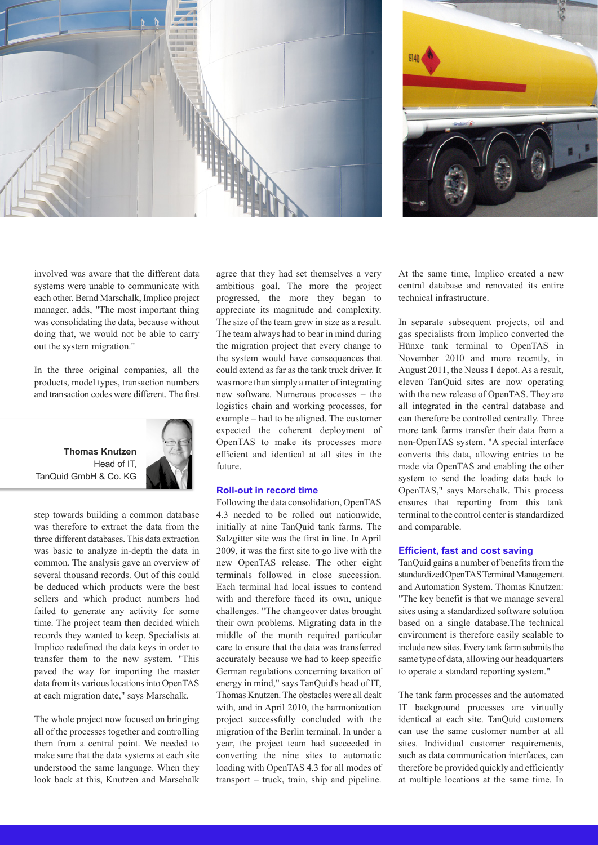



involved was aware that the different data systems were unable to communicate with each other. Bernd Marschalk, Implico project manager, adds, "The most important thing was consolidating the data, because without doing that, we would not be able to carry out the system migration."

In the three original companies, all the products, model types, transaction numbers and transaction codes were different. The first



step towards building a common database was therefore to extract the data from the three different databases. This data extraction was basic to analyze in-depth the data in common. The analysis gave an overview of several thousand records. Out of this could be deduced which products were the best sellers and which product numbers had failed to generate any activity for some time. The project team then decided which records they wanted to keep. Specialists at Implico redefined the data keys in order to transfer them to the new system. "This paved the way for importing the master data from its various locations into OpenTAS at each migration date," says Marschalk.

The whole project now focused on bringing all of the processes together and controlling them from a central point. We needed to make sure that the data systems at each site understood the same language. When they look back at this, Knutzen and Marschalk

agree that they had set themselves a very ambitious goal. The more the project progressed, the more they began to appreciate its magnitude and complexity. The size of the team grew in size as a result. The team always had to bear in mind during the migration project that every change to the system would have consequences that could extend as far as the tank truck driver. It was more than simply a matter of integrating new software. Numerous processes – the logistics chain and working processes, for example – had to be aligned. The customer expected the coherent deployment of OpenTAS to make its processes more efficient and identical at all sites in the future.

#### **Roll-out in record time**

Following the data consolidation, OpenTAS 4.3 needed to be rolled out nationwide, initially at nine TanQuid tank farms. The Salzgitter site was the first in line. In April 2009, it was the first site to go live with the new OpenTAS release. The other eight terminals followed in close succession. Each terminal had local issues to contend with and therefore faced its own, unique challenges. "The changeover dates brought their own problems. Migrating data in the middle of the month required particular care to ensure that the data was transferred accurately because we had to keep specific German regulations concerning taxation of energy in mind," says TanQuid's head of IT, Thomas Knutzen. The obstacles were all dealt with, and in April 2010, the harmonization project successfully concluded with the migration of the Berlin terminal. In under a year, the project team had succeeded in converting the nine sites to automatic loading with OpenTAS 4.3 for all modes of transport – truck, train, ship and pipeline.

At the same time, Implico created a new central database and renovated its entire technical infrastructure.

In separate subsequent projects, oil and gas specialists from Implico converted the Hünxe tank terminal to OpenTAS in November 2010 and more recently, in August 2011, the Neuss 1 depot. As a result, eleven TanQuid sites are now operating with the new release of OpenTAS. They are all integrated in the central database and can therefore be controlled centrally. Three more tank farms transfer their data from a non-OpenTAS system. "A special interface converts this data, allowing entries to be made via OpenTAS and enabling the other system to send the loading data back to OpenTAS," says Marschalk. This process ensures that reporting from this tank terminal to the control center is standardized and comparable.

#### **Efficient, fast and cost saving**

TanQuid gains a number of benefits from the standardized OpenTAS Terminal Management and Automation System. Thomas Knutzen: "The key benefit is that we manage several sites using a standardized software solution based on a single database.The technical environment is therefore easily scalable to include new sites. Every tank farm submits the same type of data, allowing our headquarters to operate a standard reporting system."

The tank farm processes and the automated IT background processes are virtually identical at each site. TanQuid customers can use the same customer number at all sites. Individual customer requirements, such as data communication interfaces, can therefore be provided quickly and efficiently at multiple locations at the same time. In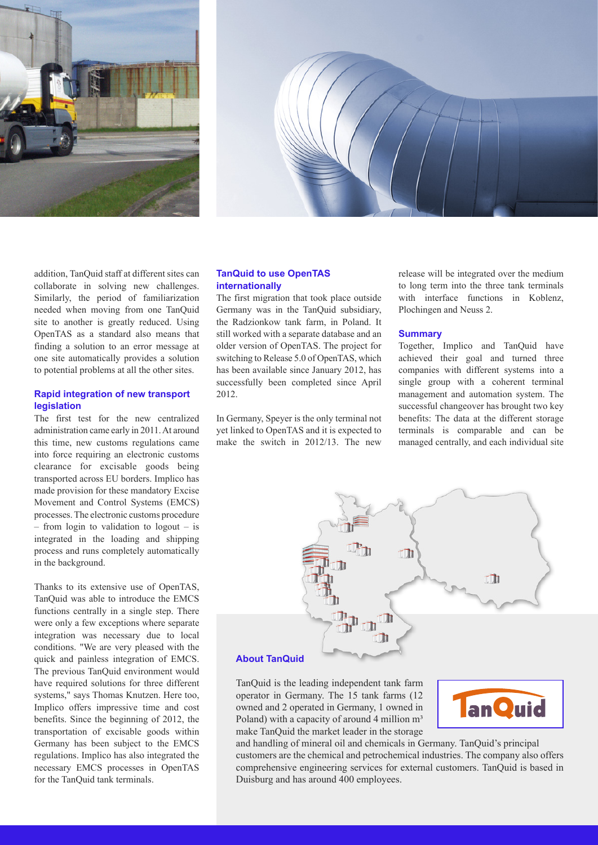



addition, TanQuid staff at different sites can collaborate in solving new challenges. Similarly, the period of familiarization needed when moving from one TanQuid site to another is greatly reduced. Using OpenTAS as a standard also means that finding a solution to an error message at one site automatically provides a solution to potential problems at all the other sites.

#### **Rapid integration of new transport legislation**

The first test for the new centralized administration came early in 2011. At around this time, new customs regulations came into force requiring an electronic customs clearance for excisable goods being transported across EU borders. Implico has made provision for these mandatory Excise Movement and Control Systems (EMCS) processes. The electronic customs procedure – from login to validation to logout – is integrated in the loading and shipping process and runs completely automatically in the background.

Thanks to its extensive use of OpenTAS, TanQuid was able to introduce the EMCS functions centrally in a single step. There were only a few exceptions where separate integration was necessary due to local conditions. "We are very pleased with the quick and painless integration of EMCS. The previous TanQuid environment would have required solutions for three different systems," says Thomas Knutzen. Here too, Implico offers impressive time and cost benefits. Since the beginning of 2012, the transportation of excisable goods within Germany has been subject to the EMCS regulations. Implico has also integrated the necessary EMCS processes in OpenTAS for the TanQuid tank terminals.

### **TanQuid to use OpenTAS internationally**

The first migration that took place outside Germany was in the TanQuid subsidiary, the Radzionkow tank farm, in Poland. It still worked with a separate database and an older version of OpenTAS. The project for switching to Release 5.0 of OpenTAS, which has been available since January 2012, has successfully been completed since April 2012.

In Germany, Speyer is the only terminal not yet linked to OpenTAS and it is expected to make the switch in 2012/13. The new

release will be integrated over the medium to long term into the three tank terminals with interface functions in Koblenz, Plochingen and Neuss 2.

#### **Summary**

Together, Implico and TanQuid have achieved their goal and turned three companies with different systems into a single group with a coherent terminal management and automation system. The successful changeover has brought two key benefits: The data at the different storage terminals is comparable and can be managed centrally, and each individual site



TanQuid is the leading independent tank farm operator in Germany. The 15 tank farms (12 owned and 2 operated in Germany, 1 owned in

Poland) with a capacity of around 4 million  $m<sup>3</sup>$ make TanQuid the market leader in the storage



and handling of mineral oil and chemicals in Germany. TanQuid's principal customers are the chemical and petrochemical industries. The company also offers comprehensive engineering services for external customers. TanQuid is based in Duisburg and has around 400 employees.